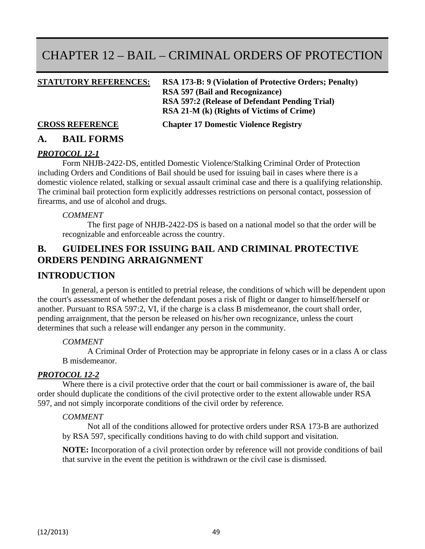# CHAPTER 12 – BAIL – CRIMINAL ORDERS OF PROTECTION

**STATUTORY REFERENCES: RSA 173-B: 9 (Violation of Protective Orders; Penalty) RSA 597 (Bail and Recognizance) RSA 597:2 (Release of Defendant Pending Trial) RSA 21-M (k) (Rights of Victims of Crime)** 

**CROSS REFERENCE Chapter 17 Domestic Violence Registry** 

### **A. BAIL FORMS**

#### *PROTOCOL 12-1*

Form NHJB-2422-DS, entitled Domestic Violence/Stalking Criminal Order of Protection including Orders and Conditions of Bail should be used for issuing bail in cases where there is a domestic violence related, stalking or sexual assault criminal case and there is a qualifying relationship. The criminal bail protection form explicitly addresses restrictions on personal contact, possession of firearms, and use of alcohol and drugs.

#### *COMMENT*

The first page of NHJB-2422-DS is based on a national model so that the order will be recognizable and enforceable across the country.

## **B. GUIDELINES FOR ISSUING BAIL AND CRIMINAL PROTECTIVE ORDERS PENDING ARRAIGNMENT**

#### **INTRODUCTION**

In general, a person is entitled to pretrial release, the conditions of which will be dependent upon the court's assessment of whether the defendant poses a risk of flight or danger to himself/herself or another. Pursuant to RSA 597:2, VI, if the charge is a class B misdemeanor, the court shall order, pending arraignment, that the person be released on his/her own recognizance, unless the court determines that such a release will endanger any person in the community.

#### *COMMENT*

A Criminal Order of Protection may be appropriate in felony cases or in a class A or class B misdemeanor.

#### *PROTOCOL 12-2*

Where there is a civil protective order that the court or bail commissioner is aware of, the bail order should duplicate the conditions of the civil protective order to the extent allowable under RSA 597, and not simply incorporate conditions of the civil order by reference.

#### *COMMENT*

Not all of the conditions allowed for protective orders under RSA 173**-**B are authorized by RSA 597, specifically conditions having to do with child support and visitation.

**NOTE:** Incorporation of a civil protection order by reference will not provide conditions of bail that survive in the event the petition is withdrawn or the civil case is dismissed.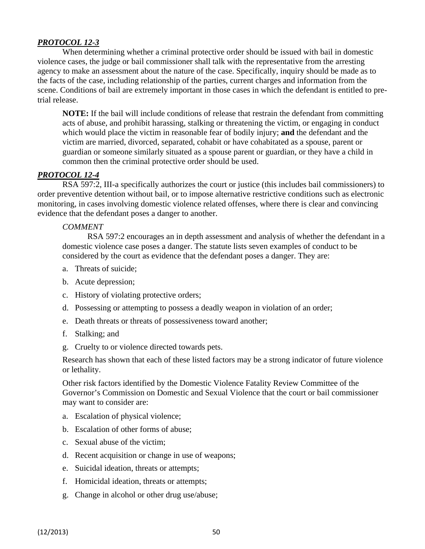#### *PROTOCOL 12-3*

When determining whether a criminal protective order should be issued with bail in domestic violence cases, the judge or bail commissioner shall talk with the representative from the arresting agency to make an assessment about the nature of the case. Specifically, inquiry should be made as to the facts of the case, including relationship of the parties, current charges and information from the scene. Conditions of bail are extremely important in those cases in which the defendant is entitled to pretrial release.

**NOTE:** If the bail will include conditions of release that restrain the defendant from committing acts of abuse, and prohibit harassing, stalking or threatening the victim, or engaging in conduct which would place the victim in reasonable fear of bodily injury; **and** the defendant and the victim are married, divorced, separated, cohabit or have cohabitated as a spouse, parent or guardian or someone similarly situated as a spouse parent or guardian, or they have a child in common then the criminal protective order should be used.

#### *PROTOCOL 12-4*

RSA 597:2, III-a specifically authorizes the court or justice (this includes bail commissioners) to order preventive detention without bail, or to impose alternative restrictive conditions such as electronic monitoring, in cases involving domestic violence related offenses, where there is clear and convincing evidence that the defendant poses a danger to another.

#### *COMMENT*

RSA 597:2 encourages an in depth assessment and analysis of whether the defendant in a domestic violence case poses a danger. The statute lists seven examples of conduct to be considered by the court as evidence that the defendant poses a danger. They are:

- a. Threats of suicide;
- b. Acute depression;
- c. History of violating protective orders;
- d. Possessing or attempting to possess a deadly weapon in violation of an order;
- e. Death threats or threats of possessiveness toward another;
- f. Stalking; and
- g. Cruelty to or violence directed towards pets.

Research has shown that each of these listed factors may be a strong indicator of future violence or lethality.

Other risk factors identified by the Domestic Violence Fatality Review Committee of the Governor's Commission on Domestic and Sexual Violence that the court or bail commissioner may want to consider are:

- a. Escalation of physical violence;
- b. Escalation of other forms of abuse;
- c. Sexual abuse of the victim;
- d. Recent acquisition or change in use of weapons;
- e. Suicidal ideation, threats or attempts;
- f. Homicidal ideation, threats or attempts;
- g. Change in alcohol or other drug use/abuse;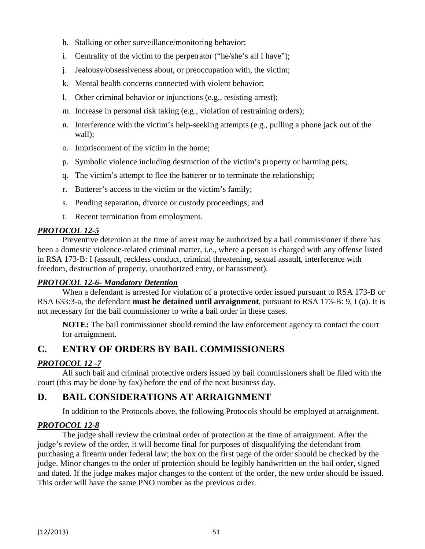- h. Stalking or other surveillance/monitoring behavior;
- i. Centrality of the victim to the perpetrator ("he/she's all I have");
- j. Jealousy/obsessiveness about, or preoccupation with, the victim;
- k. Mental health concerns connected with violent behavior;
- l. Other criminal behavior or injunctions (e.g., resisting arrest);
- m. Increase in personal risk taking (e.g., violation of restraining orders);
- n. Interference with the victim's help-seeking attempts (e.g., pulling a phone jack out of the wall);
- o. Imprisonment of the victim in the home;
- p. Symbolic violence including destruction of the victim's property or harming pets;
- q. The victim's attempt to flee the batterer or to terminate the relationship;
- r. Batterer's access to the victim or the victim's family;
- s. Pending separation, divorce or custody proceedings; and
- t. Recent termination from employment.

#### *PROTOCOL 12-5*

Preventive detention at the time of arrest may be authorized by a bail commissioner if there has been a domestic violence-related criminal matter, i.e., where a person is charged with any offense listed in RSA 173-B: I (assault, reckless conduct, criminal threatening, sexual assault, interference with freedom, destruction of property, unauthorized entry, or harassment).

#### *PROTOCOL 12-6- Mandatory Detention*

When a defendant is arrested for violation of a protective order issued pursuant to RSA 173-B or RSA 633:3-a, the defendant **must be detained until arraignment**, pursuant to RSA 173-B: 9, I (a). It is not necessary for the bail commissioner to write a bail order in these cases.

**NOTE:** The bail commissioner should remind the law enforcement agency to contact the court for arraignment.

## **C. ENTRY OF ORDERS BY BAIL COMMISSIONERS**

#### *PROTOCOL 12 -7*

All such bail and criminal protective orders issued by bail commissioners shall be filed with the court (this may be done by fax) before the end of the next business day.

## **D. BAIL CONSIDERATIONS AT ARRAIGNMENT**

In addition to the Protocols above, the following Protocols should be employed at arraignment.

#### *PROTOCOL 12-8*

The judge shall review the criminal order of protection at the time of arraignment. After the judge's review of the order, it will become final for purposes of disqualifying the defendant from purchasing a firearm under federal law; the box on the first page of the order should be checked by the judge. Minor changes to the order of protection should be legibly handwritten on the bail order, signed and dated. If the judge makes major changes to the content of the order, the new order should be issued. This order will have the same PNO number as the previous order.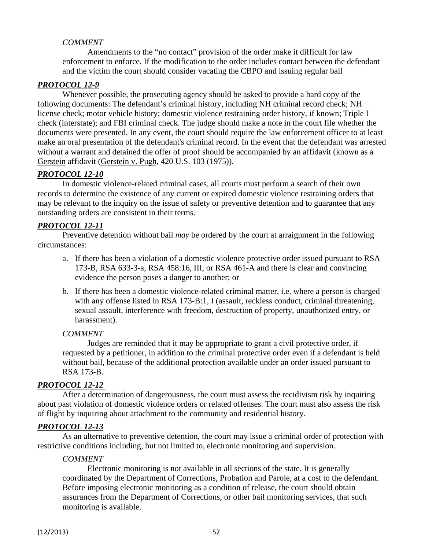#### *COMMENT*

Amendments to the "no contact" provision of the order make it difficult for law enforcement to enforce. If the modification to the order includes contact between the defendant and the victim the court should consider vacating the CBPO and issuing regular bail

#### *PROTOCOL 12-9*

Whenever possible, the prosecuting agency should be asked to provide a hard copy of the following documents: The defendant's criminal history, including NH criminal record check; NH license check; motor vehicle history; domestic violence restraining order history, if known; Triple I check (interstate); and FBI criminal check. The judge should make a note in the court file whether the documents were presented. In any event, the court should require the law enforcement officer to at least make an oral presentation of the defendant's criminal record. In the event that the defendant was arrested without a warrant and detained the offer of proof should be accompanied by an affidavit (known as a Gerstein affidavit (Gerstein v. Pugh, 420 U.S. 103 (1975)).

#### *PROTOCOL 12-10*

In domestic violence-related criminal cases, all courts must perform a search of their own records to determine the existence of any current or expired domestic violence restraining orders that may be relevant to the inquiry on the issue of safety or preventive detention and to guarantee that any outstanding orders are consistent in their terms.

#### *PROTOCOL 12-11*

Preventive detention without bail *may* be ordered by the court at arraignment in the following circumstances:

- a. If there has been a violation of a domestic violence protective order issued pursuant to RSA 173-B, RSA 633-3-a, RSA 458:16, III, or RSA 461-A and there is clear and convincing evidence the person poses a danger to another; or
- b. If there has been a domestic violence-related criminal matter, i.e. where a person is charged with any offense listed in RSA 173-B:1, I (assault, reckless conduct, criminal threatening, sexual assault, interference with freedom, destruction of property, unauthorized entry, or harassment).

#### *COMMENT*

Judges are reminded that it may be appropriate to grant a civil protective order, if requested by a petitioner, in addition to the criminal protective order even if a defendant is held without bail, because of the additional protection available under an order issued pursuant to RSA 173-B.

#### *PROTOCOL 12-12*

After a determination of dangerousness, the court must assess the recidivism risk by inquiring about past violation of domestic violence orders or related offenses. The court must also assess the risk of flight by inquiring about attachment to the community and residential history.

#### *PROTOCOL 12-13*

As an alternative to preventive detention, the court may issue a criminal order of protection with restrictive conditions including, but not limited to, electronic monitoring and supervision.

#### *COMMENT*

Electronic monitoring is not available in all sections of the state. It is generally coordinated by the Department of Corrections, Probation and Parole, at a cost to the defendant. Before imposing electronic monitoring as a condition of release, the court should obtain assurances from the Department of Corrections, or other bail monitoring services, that such monitoring is available.